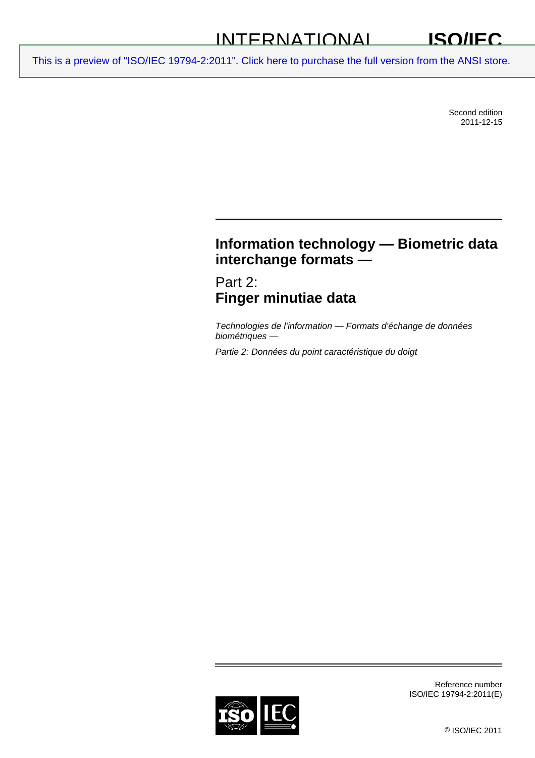#### INTERNATIONAL **ISO/IEC**

[This is a preview of "ISO/IEC 19794-2:2011". Click here to purchase the full version from the ANSI store.](http://webstore.ansi.org/RecordDetail.aspx?sku=ISO%2FIEC%2019794-2:2011&source=preview)

Second edition 2011-12-15

# **Information technology — Biometric data interchange formats —**

Part 2: **Finger minutiae data** 

*Technologies de l'information — Formats d'échange de données biométriques —* 

*Partie 2: Données du point caractéristique du doigt* 



Reference number ISO/IEC 19794-2:2011(E)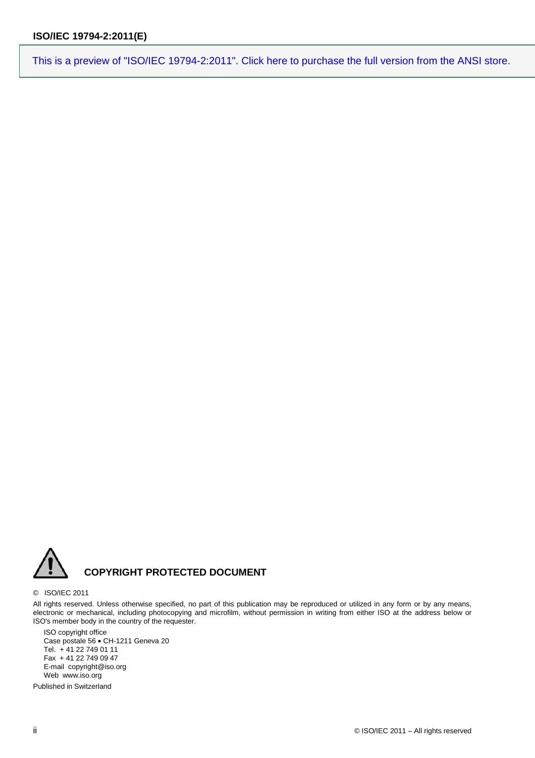

#### © ISO/IEC 2011

All rights reserved. Unless otherwise specified, no part of this publication may be reproduced or utilized in any form or by any means, electronic or mechanical, including photocopying and microfilm, without permission in writing from either ISO at the address below or ISO's member body in the country of the requester.

ISO copyright office Case postale 56 • CH-1211 Geneva 20 Tel. + 41 22 749 01 11 Fax + 41 22 749 09 47 E-mail copyright@iso.org Web www.iso.org

Published in Switzerland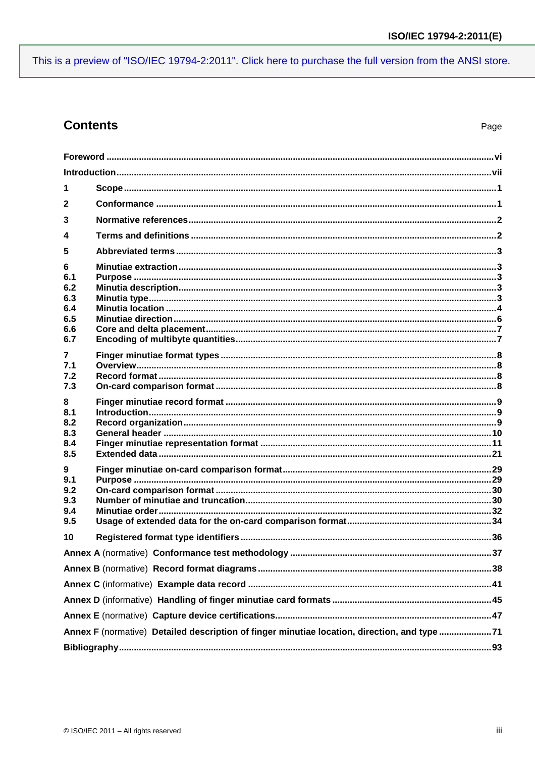## **Contents**

| 1                                                                                            |  |  |  |
|----------------------------------------------------------------------------------------------|--|--|--|
| $\mathbf{2}$                                                                                 |  |  |  |
| 3                                                                                            |  |  |  |
| 4                                                                                            |  |  |  |
| 5                                                                                            |  |  |  |
| 6<br>6.1<br>6.2<br>6.3<br>6.4<br>6.5<br>6.6                                                  |  |  |  |
| 6.7<br>$\mathbf{7}$<br>7.1<br>7.2<br>7.3                                                     |  |  |  |
| 8<br>8.1<br>8.2<br>8.3<br>8.4<br>8.5                                                         |  |  |  |
| 9<br>9.1<br>9.2<br>9.3<br>9.4<br>9.5                                                         |  |  |  |
| 10                                                                                           |  |  |  |
|                                                                                              |  |  |  |
|                                                                                              |  |  |  |
|                                                                                              |  |  |  |
|                                                                                              |  |  |  |
|                                                                                              |  |  |  |
| Annex F (normative) Detailed description of finger minutiae location, direction, and type 71 |  |  |  |
|                                                                                              |  |  |  |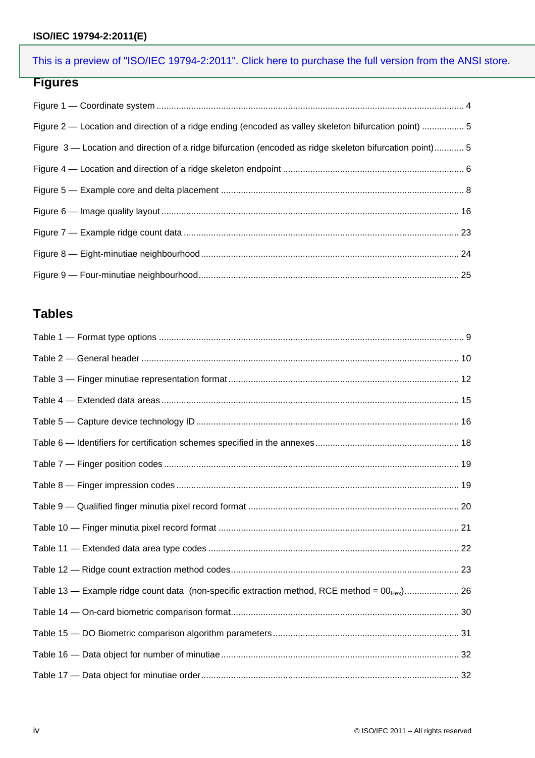#### **ISO/IEC 19794-2:2011(E)**

## [This is a preview of "ISO/IEC 19794-2:2011". Click here to purchase the full version from the ANSI store.](http://webstore.ansi.org/RecordDetail.aspx?sku=ISO%2FIEC%2019794-2:2011&source=preview)

## **Figures**

| Figure 2 — Location and direction of a ridge ending (encoded as valley skeleton bifurcation point)  5   |
|---------------------------------------------------------------------------------------------------------|
| Figure 3 — Location and direction of a ridge bifurcation (encoded as ridge skeleton bifurcation point)5 |
|                                                                                                         |
|                                                                                                         |
|                                                                                                         |
|                                                                                                         |
|                                                                                                         |
|                                                                                                         |

# **Tables**

| Table 13 - Example ridge count data (non-specific extraction method, RCE method = 00 <sub>Hex</sub> ) 26 |  |
|----------------------------------------------------------------------------------------------------------|--|
|                                                                                                          |  |
|                                                                                                          |  |
|                                                                                                          |  |
|                                                                                                          |  |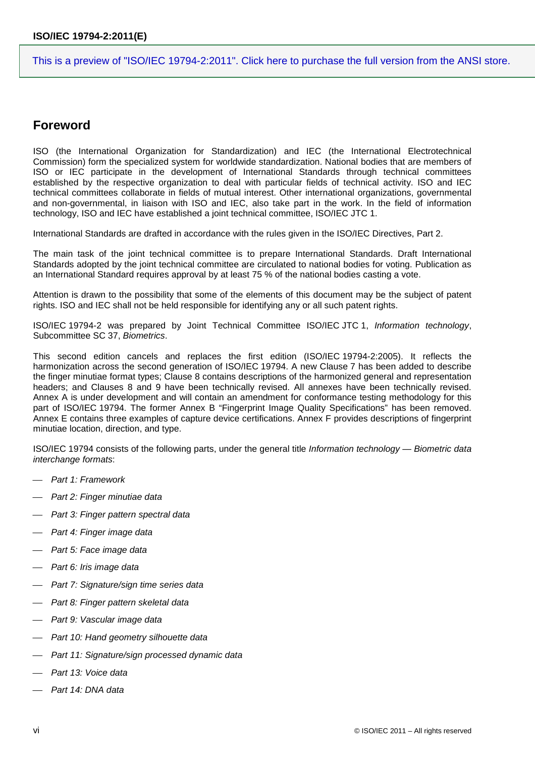## <span id="page-5-0"></span>**Foreword**

ISO (the International Organization for Standardization) and IEC (the International Electrotechnical Commission) form the specialized system for worldwide standardization. National bodies that are members of ISO or IEC participate in the development of International Standards through technical committees established by the respective organization to deal with particular fields of technical activity. ISO and IEC technical committees collaborate in fields of mutual interest. Other international organizations, governmental and non-governmental, in liaison with ISO and IEC, also take part in the work. In the field of information technology, ISO and IEC have established a joint technical committee, ISO/IEC JTC 1.

International Standards are drafted in accordance with the rules given in the ISO/IEC Directives, Part 2.

The main task of the joint technical committee is to prepare International Standards. Draft International Standards adopted by the joint technical committee are circulated to national bodies for voting. Publication as an International Standard requires approval by at least 75 % of the national bodies casting a vote.

Attention is drawn to the possibility that some of the elements of this document may be the subject of patent rights. ISO and IEC shall not be held responsible for identifying any or all such patent rights.

ISO/IEC 19794-2 was prepared by Joint Technical Committee ISO/IEC JTC 1, *Information technology*, Subcommittee SC 37, *Biometrics*.

This second edition cancels and replaces the first edition (ISO/IEC 19794-2:2005). It reflects the harmonization across the second generation of ISO/IEC 19794. A new Clause 7 has been added to describe the finger minutiae format types; Clause 8 contains descriptions of the harmonized general and representation headers; and Clauses 8 and 9 have been technically revised. All annexes have been technically revised. Annex A is under development and will contain an amendment for conformance testing methodology for this part of ISO/IEC 19794. The former Annex B "Fingerprint Image Quality Specifications" has been removed. Annex E contains three examples of capture device certifications. Annex F provides descriptions of fingerprint minutiae location, direction, and type.

ISO/IEC 19794 consists of the following parts, under the general title *Information technology — Biometric data interchange formats*:

- ⎯ *Part 1: Framework*
- ⎯ *Part 2: Finger minutiae data*
- ⎯ *Part 3: Finger pattern spectral data*
- Part 4: Finger image data
- ⎯ *Part 5: Face image data*
- ⎯ *Part 6: Iris image data*
- ⎯ *Part 7: Signature/sign time series data*
- ⎯ *Part 8: Finger pattern skeletal data*
- ⎯ *Part 9: Vascular image data*
- ⎯ *Part 10: Hand geometry silhouette data*
- ⎯ *Part 11: Signature/sign processed dynamic data*
- Part 13: Voice data
- ⎯ *Part 14: DNA data*